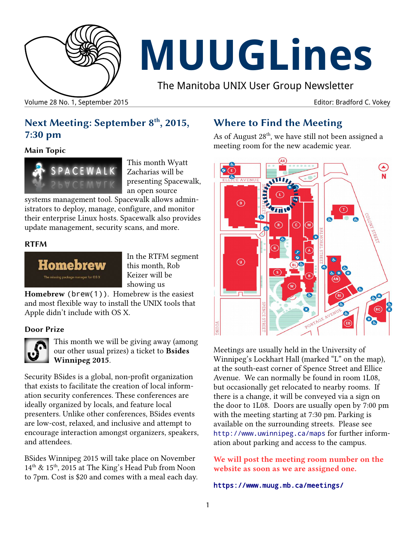

# **MUUGLines**

The Manitoba UNIX User Group Newsletter

Volume 28 No. 1, September 2015 Editor: Bradford C. Vokey

## **Next Meeting: September 8th, 2015, 7:30 pm**

**Main Topic** 



This month Wyatt Zacharias will be presenting Spacewalk, an open source

systems management tool. Spacewalk allows administrators to deploy, manage, configure, and monitor their enterprise Linux hosts. Spacewalk also provides update management, security scans, and more.

#### **RTFM**



In the RTFM segment this month, Rob Keizer will be showing us

**Homebrew** (brew(1)). Homebrew is the easiest and most flexible way to install the UNIX tools that Apple didn't include with OS X.

#### **Door Prize**



This month we will be giving away (among our other usual prizes) a ticket to **Bsides Winnipeg 2015**.

Security BSides is a global, non-profit organization that exists to facilitate the creation of local information security conferences. These conferences are ideally organized by locals, and feature local presenters. Unlike other conferences, BSides events are low-cost, relaxed, and inclusive and attempt to encourage interaction amongst organizers, speakers, and attendees.

BSides Winnipeg 2015 will take place on November 14<sup>th</sup> & 15<sup>th</sup>, 2015 at The King's Head Pub from Noon to 7pm. Cost is \$20 and comes with a meal each day.

## **Where to Find the Meeting**

As of August 28<sup>th</sup>, we have still not been assigned a meeting room for the new academic year.



Meetings are usually held in the University of Winnipeg's Lockhart Hall (marked "L" on the map), at the south-east corner of Spence Street and Ellice Avenue. We can normally be found in room 1L08, but occasionally get relocated to nearby rooms. If there is a change, it will be conveyed via a sign on the door to 1L08. Doors are usually open by 7:00 pm with the meeting starting at 7:30 pm. Parking is available on the surrounding streets. Please see <http://www.uwinnipeg.ca/maps> for further information about parking and access to the campus.

**We will post the meeting room number on the website as soon as we are assigned one.**

<https://www.muug.mb.ca/meetings/>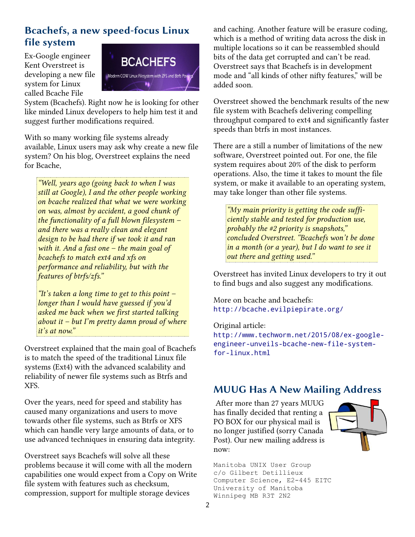## **Bcachefs, a new speed-focus Linux file system**

Ex-Google engineer Kent Overstreet is developing a new file system for Linux called Bcache File



System (Bcachefs). Right now he is looking for other like minded Linux developers to help him test it and suggest further modifications required.

With so many working file systems already available, Linux users may ask why create a new file system? On his blog, Overstreet explains the need for Bcache,

*"Well, years ago (going back to when I was still at Google), I and the other people working on bcache realized that what we were working on was, almost by accident, a good chunk of the functionality of a full blown filesystem – and there was a really clean and elegant design to be had there if we took it and ran with it. And a fast one – the main goal of bcachefs to match ext4 and xfs on performance and reliability, but with the features of btrfs/zfs."*

*"It's taken a long time to get to this point – longer than I would have guessed if you'd asked me back when we first started talking about it – but I'm pretty damn proud of where it's at now."*

Overstreet explained that the main goal of Bcachefs is to match the speed of the traditional Linux file systems (Ext4) with the advanced scalability and reliability of newer file systems such as Btrfs and XFS.

Over the years, need for speed and stability has caused many organizations and users to move towards other file systems, such as Btrfs or XFS which can handle very large amounts of data, or to use advanced techniques in ensuring data integrity.

Overstreet says Bcachefs will solve all these problems because it will come with all the modern capabilities one would expect from a Copy on Write file system with features such as checksum, compression, support for multiple storage devices

and caching. Another feature will be erasure coding, which is a method of writing data across the disk in multiple locations so it can be reassembled should bits of the data get corrupted and can't be read. Overstreet says that Bcachefs is in development mode and "all kinds of other nifty features," will be added soon.

Overstreet showed the benchmark results of the new file system with Bcachefs delivering compelling throughput compared to ext4 and significantly faster speeds than btrfs in most instances.

There are a still a number of limitations of the new software, Overstreet pointed out. For one, the file system requires about 20% of the disk to perform operations. Also, the time it takes to mount the file system, or make it available to an operating system, may take longer than other file systems.

*"My main priority is getting the code sufficiently stable and tested for production use, probably the #2 priority is snapshots," concluded Overstreet. "Bcachefs won't be done in a month (or a year), but I do want to see it out there and getting used."*

Overstreet has invited Linux developers to try it out to find bugs and also suggest any modifications.

More on bcache and bcachefs: <http://bcache.evilpiepirate.org/>

Original article: [http://www.techworm.net/2015/08/ex-google](http://www.techworm.net/2015/08/ex-google-engineer-unveils-bcache-new-file-system-for-linux.html)[engineer-unveils-bcache-new-file-system](http://www.techworm.net/2015/08/ex-google-engineer-unveils-bcache-new-file-system-for-linux.html)[for-linux.html](http://www.techworm.net/2015/08/ex-google-engineer-unveils-bcache-new-file-system-for-linux.html)

### **MUUG Has A New Mailing Address**

 After more than 27 years MUUG has finally decided that renting a PO BOX for our physical mail is no longer justified (sorry Canada Post). Our new mailing address is now:



Manitoba UNIX User Group c/o Gilbert Detillieux Computer Science, E2-445 EITC University of Manitoba Winnipeg MB R3T 2N2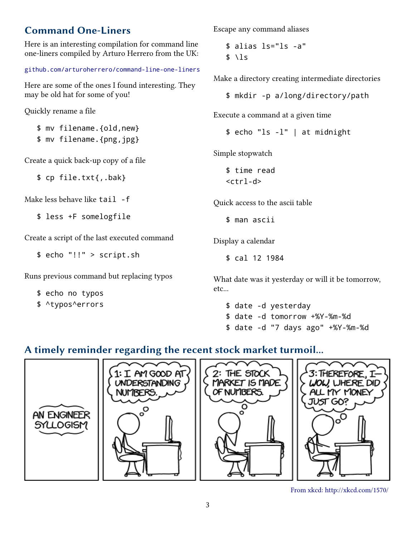# **Command One-Liners**

Here is an interesting compilation for command line one-liners compiled by Arturo Herrero from the UK:

#### [github.com/arturoherrero/command-line-one-liners](https://github.com/arturoherrero/command-line-one-liners)

Here are some of the ones I found interesting. They may be old hat for some of you!

Quickly rename a file

\$ mv filename.{old,new} \$ mv filename.{png,jpg}

Create a quick back-up copy of a file

\$ cp file.txt{,.bak}

Make less behave like tail -f

\$ less +F somelogfile

Create a script of the last executed command

\$ echo "!!" > script.sh

Runs previous command but replacing typos

\$ echo no typos

\$ ^typos^errors

Escape any command aliases

\$ alias ls="ls -a"  $$ \backslash$   $1s$ 

Make a directory creating intermediate directories

\$ mkdir -p a/long/directory/path

Execute a command at a given time

\$ echo "ls -l" | at midnight

Simple stopwatch

\$ time read  $<$ ctrl-d>

Quick access to the ascii table

\$ man ascii

Display a calendar

\$ cal 12 1984

What date was it yesterday or will it be tomorrow, etc...

\$ date -d yesterday

- \$ date -d tomorrow +%Y-%m-%d
- \$ date -d "7 days ago" +%Y-%m-%d

# **A timely reminder regarding the recent stock market turmoil...**



From xkcd: http://xkcd.com/1570/